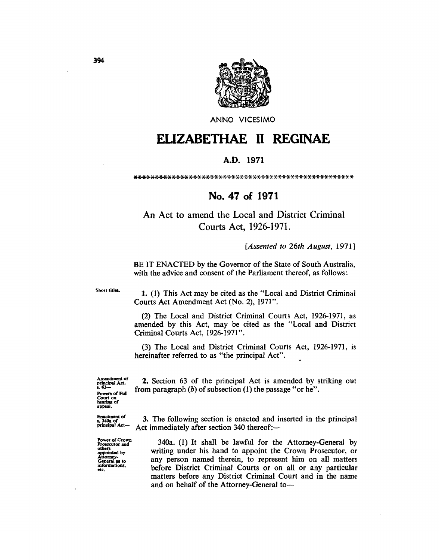

ANNO VICESIMO

# ELIZABETHAE II REGINAE

#### A.D. 1971

#### 

### No. 47 of 1971

## An Act to amend the Local and District Criminal Courts Act, 1926-1971.

#### [Assented to 26th August, 1971]

BE IT ENACTED by the Governor of the State of South Australia, with the advice and consent of the Parliament thereof, as follows:

Short titles

1. (1) This Act may be cited as the "Local and District Criminal Courts Act Amendment Act (No. 2), 1971".

(2) The Local and District Criminal Courts Act, 1926-1971, as amended by this Act, may be cited as the "Local and District Criminal Courts Act, 1926-1971".

(3) The Local and District Criminal Courts Act, 1926-1971, is hereinafter referred to as "the principal Act".

Amendment of<br>principal Act,<br>s. 63-Powers of Full Court on<br>hearing of<br>appeal.

Enactment of<br>s. 340a of<br>principal Act-

Power of Crown<br>Prosecutor and<br>others<br>appointed by<br>Attorney-<br>General as to<br>General and informations,

2. Section 63 of the principal Act is amended by striking out from paragraph  $(b)$  of subsection  $(1)$  the passage "or he".

3. The following section is enacted and inserted in the principal Act immediately after section 340 thereof:—

340a. (1) It shall be lawful for the Attorney-General by writing under his hand to appoint the Crown Prosecutor, or any person named therein, to represent him on all matters before District Criminal Courts or on all or any particular matters before any District Criminal Court and in the name and on behalf of the Attorney-General to